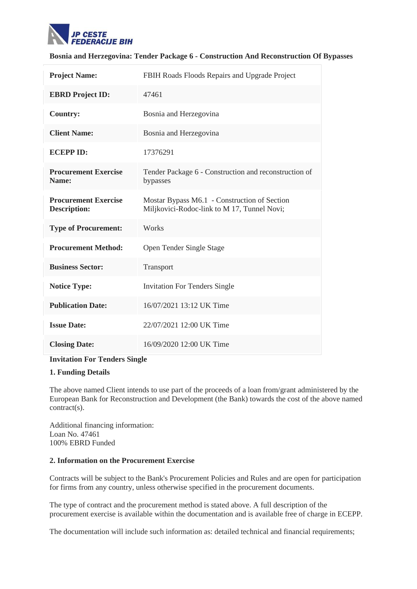

## **Bosnia and Herzegovina: Tender Package 6 - Construction And Reconstruction Of Bypasses**

| <b>Project Name:</b>                               | FBIH Roads Floods Repairs and Upgrade Project                                               |
|----------------------------------------------------|---------------------------------------------------------------------------------------------|
| <b>EBRD Project ID:</b>                            | 47461                                                                                       |
| <b>Country:</b>                                    | Bosnia and Herzegovina                                                                      |
| <b>Client Name:</b>                                | Bosnia and Herzegovina                                                                      |
| <b>ECEPP ID:</b>                                   | 17376291                                                                                    |
| <b>Procurement Exercise</b><br>Name:               | Tender Package 6 - Construction and reconstruction of<br>bypasses                           |
| <b>Procurement Exercise</b><br><b>Description:</b> | Mostar Bypass M6.1 - Construction of Section<br>Miljkovici-Rodoc-link to M 17, Tunnel Novi; |
| <b>Type of Procurement:</b>                        | Works                                                                                       |
| <b>Procurement Method:</b>                         | Open Tender Single Stage                                                                    |
| <b>Business Sector:</b>                            | Transport                                                                                   |
| <b>Notice Type:</b>                                | <b>Invitation For Tenders Single</b>                                                        |
| <b>Publication Date:</b>                           | 16/07/2021 13:12 UK Time                                                                    |
| <b>Issue Date:</b>                                 | 22/07/2021 12:00 UK Time                                                                    |
| <b>Closing Date:</b>                               | 16/09/2020 12:00 UK Time                                                                    |

### **Invitation For Tenders Single**

## **1. Funding Details**

The above named Client intends to use part of the proceeds of a loan from/grant administered by the European Bank for Reconstruction and Development (the Bank) towards the cost of the above named contract(s).

Additional financing information: Loan No. 47461 100% EBRD Funded

### **2. Information on the Procurement Exercise**

Contracts will be subject to the Bank's Procurement Policies and Rules and are open for participation for firms from any country, unless otherwise specified in the procurement documents.

The type of contract and the procurement method is stated above. A full description of the procurement exercise is available within the documentation and is available free of charge in ECEPP.

The documentation will include such information as: detailed technical and financial requirements;